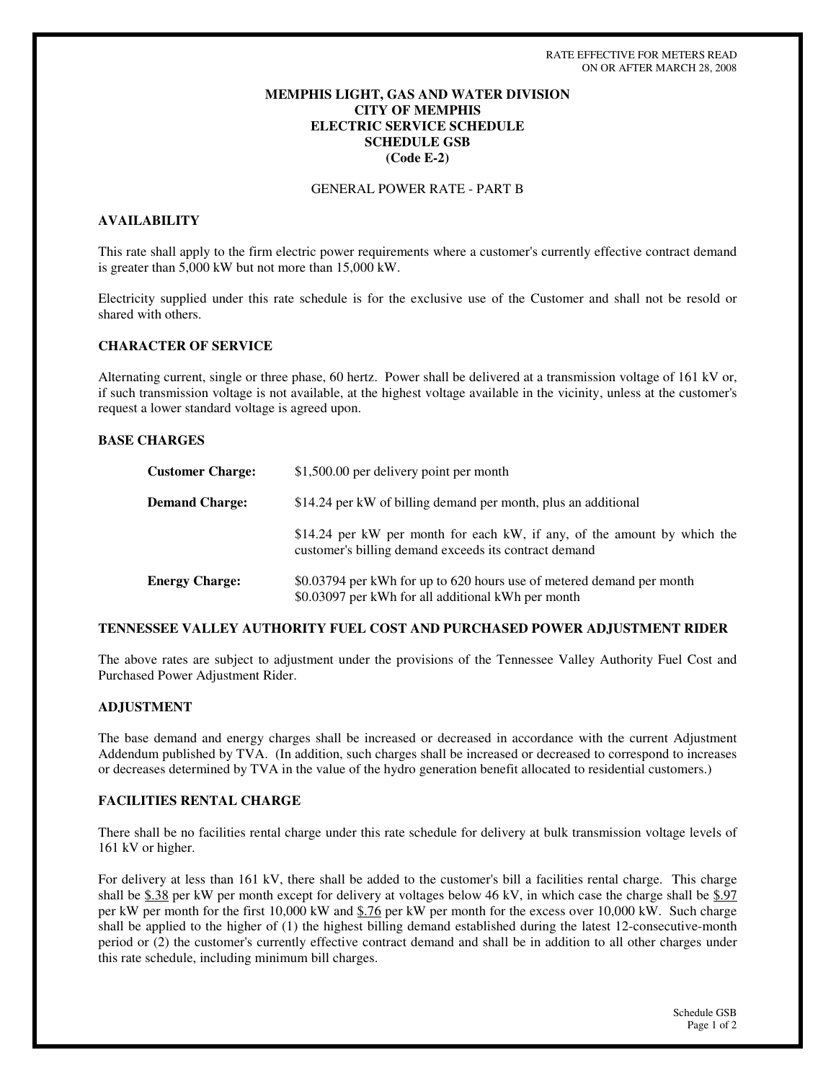# **MEMPHIS LIGHT, GAS AND WATER DIVISION CITY OF MEMPHIS ELECTRIC SERVICE SCHEDULE SCHEDULE GSB (Code E-2)**

GENERAL POWER RATE - PART B

# **AVAILABILITY**

This rate shall apply to the firm electric power requirements where a customer's currently effective contract demand is greater than 5,000 kW but not more than 15,000 kW.

Electricity supplied under this rate schedule is for the exclusive use of the Customer and shall not be resold or shared with others.

# **CHARACTER OF SERVICE**

Alternating current, single or three phase, 60 hertz. Power shall be delivered at a transmission voltage of 161 kV or, if such transmission voltage is not available, at the highest voltage available in the vicinity, unless at the customer's request a lower standard voltage is agreed upon.

### **BASE CHARGES**

| <b>Customer Charge:</b> | \$1,500.00 per delivery point per month                                                                                           |
|-------------------------|-----------------------------------------------------------------------------------------------------------------------------------|
| <b>Demand Charge:</b>   | \$14.24 per kW of billing demand per month, plus an additional                                                                    |
|                         | \$14.24 per kW per month for each kW, if any, of the amount by which the<br>customer's billing demand exceeds its contract demand |
| <b>Energy Charge:</b>   | \$0.03794 per kWh for up to 620 hours use of metered demand per month<br>\$0.03097 per kWh for all additional kWh per month       |

### **TENNESSEE VALLEY AUTHORITY FUEL COST AND PURCHASED POWER ADJUSTMENT RIDER**

The above rates are subject to adjustment under the provisions of the Tennessee Valley Authority Fuel Cost and Purchased Power Adjustment Rider.

## **ADJUSTMENT**

The base demand and energy charges shall be increased or decreased in accordance with the current Adjustment Addendum published by TVA. (In addition, such charges shall be increased or decreased to correspond to increases or decreases determined by TVA in the value of the hydro generation benefit allocated to residential customers.)

### **FACILITIES RENTAL CHARGE**

There shall be no facilities rental charge under this rate schedule for delivery at bulk transmission voltage levels of 161 kV or higher.

For delivery at less than 161 kV, there shall be added to the customer's bill a facilities rental charge. This charge shall be \$.38 per kW per month except for delivery at voltages below 46 kV, in which case the charge shall be \$.97 per kW per month for the first 10,000 kW and \$.76 per kW per month for the excess over 10,000 kW. Such charge shall be applied to the higher of (1) the highest billing demand established during the latest 12-consecutive-month period or (2) the customer's currently effective contract demand and shall be in addition to all other charges under this rate schedule, including minimum bill charges.